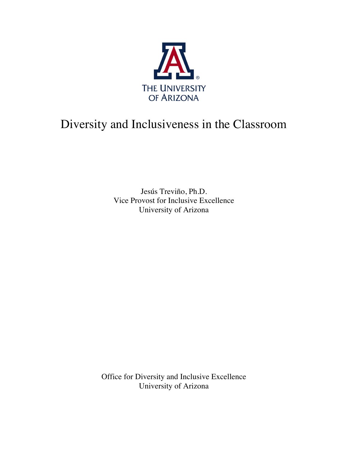

# Diversity and Inclusiveness in the Classroom

Jesús Treviño, Ph.D. Vice Provost for Inclusive Excellence University of Arizona

Office for Diversity and Inclusive Excellence University of Arizona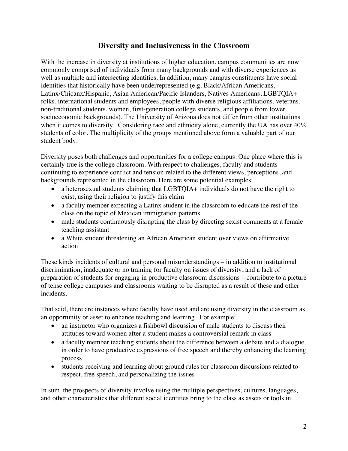# **Diversity and Inclusiveness in the Classroom**

With the increase in diversity at institutions of higher education, campus communities are now commonly comprised of individuals from many backgrounds and with diverse experiences as well as multiple and intersecting identities. In addition, many campus constituents have social identities that historically have been underrepresented (e.g. Black/African Americans, Latinx/Chicanx/Hispanic, Asian American/Pacific Islanders, Natives Americans, LGBTQIA+ folks, international students and employees, people with diverse religious affiliations, veterans, non-traditional students, women, first-generation college students, and people from lower socioeconomic backgrounds). The University of Arizona does not differ from other institutions when it comes to diversity. Considering race and ethnicity alone, currently the UA has over  $40\%$ students of color. The multiplicity of the groups mentioned above form a valuable part of our student body.

Diversity poses both challenges and opportunities for a college campus. One place where this is certainly true is the college classroom. With respect to challenges, faculty and students continuing to experience conflict and tension related to the different views, perceptions, and backgrounds represented in the classroom. Here are some potential examples:

- a heterosexual students claiming that LGBTQIA+ individuals do not have the right to exist, using their religion to justify this claim
- a faculty member expecting a Latinx student in the classroom to educate the rest of the class on the topic of Mexican immigration patterns
- male students continuously disrupting the class by directing sexist comments at a female teaching assistant
- a White student threatening an African American student over views on affirmative action

These kinds incidents of cultural and personal misunderstandings – in addition to institutional discrimination, inadequate or no training for faculty on issues of diversity, and a lack of preparation of students for engaging in productive classroom discussions – contribute to a picture of tense college campuses and classrooms waiting to be disrupted as a result of these and other incidents.

That said, there are instances where faculty have used and are using diversity in the classroom as an opportunity or asset to enhance teaching and learning. For example:

- an instructor who organizes a fishbowl discussion of male students to discuss their attitudes toward women after a student makes a controversial remark in class
- a faculty member teaching students about the difference between a debate and a dialogue in order to have productive expressions of free speech and thereby enhancing the learning process
- students receiving and learning about ground rules for classroom discussions related to respect, free speech, and personalizing the issues

In sum, the prospects of diversity involve using the multiple perspectives, cultures, languages, and other characteristics that different social identities bring to the class as assets or tools in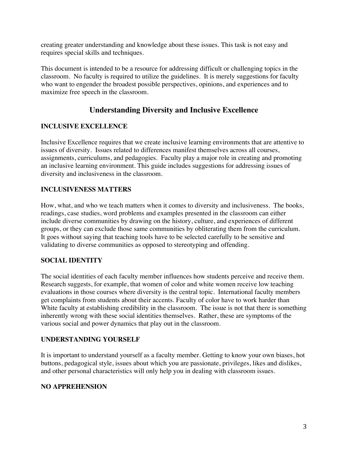creating greater understanding and knowledge about these issues. This task is not easy and requires special skills and techniques.

This document is intended to be a resource for addressing difficult or challenging topics in the classroom. No faculty is required to utilize the guidelines. It is merely suggestions for faculty who want to engender the broadest possible perspectives, opinions, and experiences and to maximize free speech in the classroom.

# **Understanding Diversity and Inclusive Excellence**

## **INCLUSIVE EXCELLENCE**

Inclusive Excellence requires that we create inclusive learning environments that are attentive to issues of diversity. Issues related to differences manifest themselves across all courses, assignments, curriculums, and pedagogies. Faculty play a major role in creating and promoting an inclusive learning environment. This guide includes suggestions for addressing issues of diversity and inclusiveness in the classroom.

# **INCLUSIVENESS MATTERS**

How, what, and who we teach matters when it comes to diversity and inclusiveness. The books, readings, case studies, word problems and examples presented in the classroom can either include diverse communities by drawing on the history, culture, and experiences of different groups, or they can exclude those same communities by obliterating them from the curriculum. It goes without saying that teaching tools have to be selected carefully to be sensitive and validating to diverse communities as opposed to stereotyping and offending.

# **SOCIAL IDENTITY**

The social identities of each faculty member influences how students perceive and receive them. Research suggests, for example, that women of color and white women receive low teaching evaluations in those courses where diversity is the central topic. International faculty members get complaints from students about their accents. Faculty of color have to work harder than White faculty at establishing credibility in the classroom. The issue is not that there is something inherently wrong with these social identities themselves. Rather, these are symptoms of the various social and power dynamics that play out in the classroom.

## **UNDERSTANDING YOURSELF**

It is important to understand yourself as a faculty member. Getting to know your own biases, hot buttons, pedagogical style, issues about which you are passionate, privileges, likes and dislikes, and other personal characteristics will only help you in dealing with classroom issues.

## **NO APPREHENSION**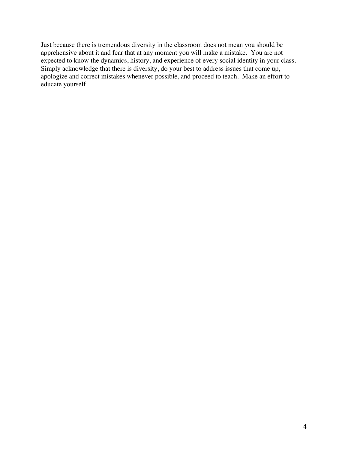Just because there is tremendous diversity in the classroom does not mean you should be apprehensive about it and fear that at any moment you will make a mistake. You are not expected to know the dynamics, history, and experience of every social identity in your class. Simply acknowledge that there is diversity, do your best to address issues that come up, apologize and correct mistakes whenever possible, and proceed to teach. Make an effort to educate yourself.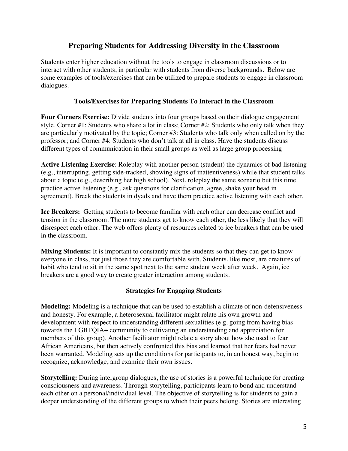# **Preparing Students for Addressing Diversity in the Classroom**

Students enter higher education without the tools to engage in classroom discussions or to interact with other students, in particular with students from diverse backgrounds. Below are some examples of tools/exercises that can be utilized to prepare students to engage in classroom dialogues.

#### **Tools/Exercises for Preparing Students To Interact in the Classroom**

**Four Corners Exercise:** Divide students into four groups based on their dialogue engagement style. Corner #1: Students who share a lot in class; Corner #2: Students who only talk when they are particularly motivated by the topic; Corner #3: Students who talk only when called on by the professor; and Corner #4: Students who don't talk at all in class. Have the students discuss different types of communication in their small groups as well as large group processing

**Active Listening Exercise**: Roleplay with another person (student) the dynamics of bad listening (e.g., interrupting, getting side-tracked, showing signs of inattentiveness) while that student talks about a topic (e.g., describing her high school). Next, roleplay the same scenario but this time practice active listening (e.g., ask questions for clarification, agree, shake your head in agreement). Break the students in dyads and have them practice active listening with each other.

**Ice Breakers:** Getting students to become familiar with each other can decrease conflict and tension in the classroom. The more students get to know each other, the less likely that they will disrespect each other. The web offers plenty of resources related to ice breakers that can be used in the classroom.

**Mixing Students:** It is important to constantly mix the students so that they can get to know everyone in class, not just those they are comfortable with. Students, like most, are creatures of habit who tend to sit in the same spot next to the same student week after week. Again, ice breakers are a good way to create greater interaction among students.

## **Strategies for Engaging Students**

**Modeling:** Modeling is a technique that can be used to establish a climate of non-defensiveness and honesty. For example, a heterosexual facilitator might relate his own growth and development with respect to understanding different sexualities (e.g. going from having bias towards the LGBTQIA+ community to cultivating an understanding and appreciation for members of this group). Another facilitator might relate a story about how she used to fear African Americans, but then actively confronted this bias and learned that her fears had never been warranted. Modeling sets up the conditions for participants to, in an honest way, begin to recognize, acknowledge, and examine their own issues.

**Storytelling:** During intergroup dialogues, the use of stories is a powerful technique for creating consciousness and awareness. Through storytelling, participants learn to bond and understand each other on a personal/individual level. The objective of storytelling is for students to gain a deeper understanding of the different groups to which their peers belong. Stories are interesting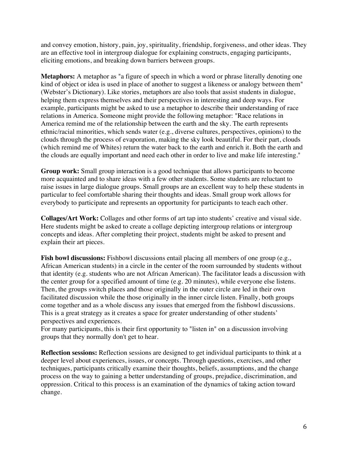and convey emotion, history, pain, joy, spirituality, friendship, forgiveness, and other ideas. They are an effective tool in intergroup dialogue for explaining constructs, engaging participants, eliciting emotions, and breaking down barriers between groups.

**Metaphors:** A metaphor as "a figure of speech in which a word or phrase literally denoting one kind of object or idea is used in place of another to suggest a likeness or analogy between them" (Webster's Dictionary). Like stories, metaphors are also tools that assist students in dialogue, helping them express themselves and their perspectives in interesting and deep ways. For example, participants might be asked to use a metaphor to describe their understanding of race relations in America. Someone might provide the following metaphor: "Race relations in America remind me of the relationship between the earth and the sky. The earth represents ethnic/racial minorities, which sends water (e.g., diverse cultures, perspectives, opinions) to the clouds through the process of evaporation, making the sky look beautiful. For their part, clouds (which remind me of Whites) return the water back to the earth and enrich it. Both the earth and the clouds are equally important and need each other in order to live and make life interesting."

**Group work:** Small group interaction is a good technique that allows participants to become more acquainted and to share ideas with a few other students. Some students are reluctant to raise issues in large dialogue groups. Small groups are an excellent way to help these students in particular to feel comfortable sharing their thoughts and ideas. Small group work allows for everybody to participate and represents an opportunity for participants to teach each other.

**Collages/Art Work:** Collages and other forms of art tap into students' creative and visual side. Here students might be asked to create a collage depicting intergroup relations or intergroup concepts and ideas. After completing their project, students might be asked to present and explain their art pieces.

**Fish bowl discussions:** Fishbowl discussions entail placing all members of one group (e.g., African American students) in a circle in the center of the room surrounded by students without that identity (e.g. students who are not African American). The facilitator leads a discussion with the center group for a specified amount of time (e.g. 20 minutes), while everyone else listens. Then, the groups switch places and those originally in the outer circle are led in their own facilitated discussion while the those originally in the inner circle listen. Finally, both groups come together and as a whole discuss any issues that emerged from the fishbowl discussions. This is a great strategy as it creates a space for greater understanding of other students' perspectives and experiences.

For many participants, this is their first opportunity to "listen in" on a discussion involving groups that they normally don't get to hear.

**Reflection sessions:** Reflection sessions are designed to get individual participants to think at a deeper level about experiences, issues, or concepts. Through questions, exercises, and other techniques, participants critically examine their thoughts, beliefs, assumptions, and the change process on the way to gaining a better understanding of groups, prejudice, discrimination, and oppression. Critical to this process is an examination of the dynamics of taking action toward change.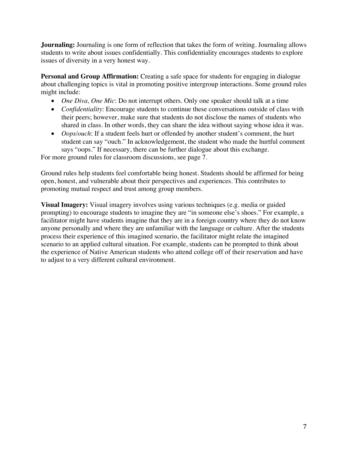**Journaling:** Journaling is one form of reflection that takes the form of writing. Journaling allows students to write about issues confidentially. This confidentiality encourages students to explore issues of diversity in a very honest way.

**Personal and Group Affirmation:** Creating a safe space for students for engaging in dialogue about challenging topics is vital in promoting positive intergroup interactions. Some ground rules might include:

- *One Diva, One Mic*: Do not interrupt others. Only one speaker should talk at a time
- *Confidentiality:* Encourage students to continue these conversations outside of class with their peers; however, make sure that students do not disclose the names of students who shared in class. In other words, they can share the idea without saying whose idea it was.
- *Oops/ouch*: If a student feels hurt or offended by another student's comment, the hurt student can say "ouch." In acknowledgement, the student who made the hurtful comment says "oops." If necessary, there can be further dialogue about this exchange.

For more ground rules for classroom discussions, see page 7.

Ground rules help students feel comfortable being honest. Students should be affirmed for being open, honest, and vulnerable about their perspectives and experiences. This contributes to promoting mutual respect and trust among group members.

**Visual Imagery:** Visual imagery involves using various techniques (e.g. media or guided prompting) to encourage students to imagine they are "in someone else's shoes." For example, a facilitator might have students imagine that they are in a foreign country where they do not know anyone personally and where they are unfamiliar with the language or culture. After the students process their experience of this imagined scenario, the facilitator might relate the imagined scenario to an applied cultural situation. For example, students can be prompted to think about the experience of Native American students who attend college off of their reservation and have to adjust to a very different cultural environment.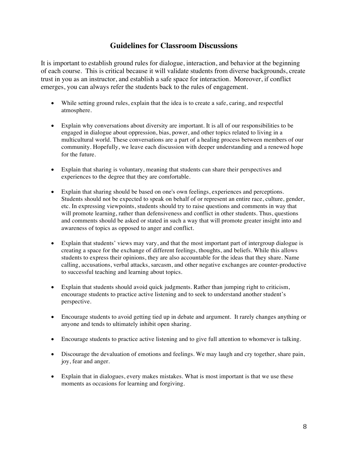# **Guidelines for Classroom Discussions**

It is important to establish ground rules for dialogue, interaction, and behavior at the beginning of each course. This is critical because it will validate students from diverse backgrounds, create trust in you as an instructor, and establish a safe space for interaction. Moreover, if conflict emerges, you can always refer the students back to the rules of engagement.

- While setting ground rules, explain that the idea is to create a safe, caring, and respectful atmosphere.
- Explain why conversations about diversity are important. It is all of our responsibilities to be engaged in dialogue about oppression, bias, power, and other topics related to living in a multicultural world. These conversations are a part of a healing process between members of our community. Hopefully, we leave each discussion with deeper understanding and a renewed hope for the future.
- Explain that sharing is voluntary, meaning that students can share their perspectives and experiences to the degree that they are comfortable.
- Explain that sharing should be based on one's own feelings, experiences and perceptions. Students should not be expected to speak on behalf of or represent an entire race, culture, gender, etc. In expressing viewpoints, students should try to raise questions and comments in way that will promote learning, rather than defensiveness and conflict in other students. Thus, questions and comments should be asked or stated in such a way that will promote greater insight into and awareness of topics as opposed to anger and conflict.
- Explain that students' views may vary, and that the most important part of intergroup dialogue is creating a space for the exchange of different feelings, thoughts, and beliefs. While this allows students to express their opinions, they are also accountable for the ideas that they share. Name calling, accusations, verbal attacks, sarcasm, and other negative exchanges are counter-productive to successful teaching and learning about topics.
- Explain that students should avoid quick judgments. Rather than jumping right to criticism, encourage students to practice active listening and to seek to understand another student's perspective.
- Encourage students to avoid getting tied up in debate and argument. It rarely changes anything or anyone and tends to ultimately inhibit open sharing.
- Encourage students to practice active listening and to give full attention to whomever is talking.
- Discourage the devaluation of emotions and feelings. We may laugh and cry together, share pain, joy, fear and anger.
- Explain that in dialogues, every makes mistakes. What is most important is that we use these moments as occasions for learning and forgiving.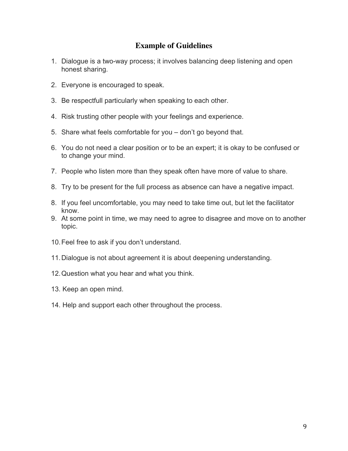# **Example of Guidelines**

- 1. Dialogue is a two-way process; it involves balancing deep listening and open honest sharing.
- 2. Everyone is encouraged to speak.
- 3. Be respectfull particularly when speaking to each other.
- 4. Risk trusting other people with your feelings and experience.
- 5. Share what feels comfortable for you don't go beyond that.
- 6. You do not need a clear position or to be an expert; it is okay to be confused or to change your mind.
- 7. People who listen more than they speak often have more of value to share.
- 8. Try to be present for the full process as absence can have a negative impact.
- 8. If you feel uncomfortable, you may need to take time out, but let the facilitator know.
- 9. At some point in time, we may need to agree to disagree and move on to another topic.
- 10.Feel free to ask if you don't understand.
- 11.Dialogue is not about agreement it is about deepening understanding.
- 12.Question what you hear and what you think.
- 13. Keep an open mind.
- 14. Help and support each other throughout the process.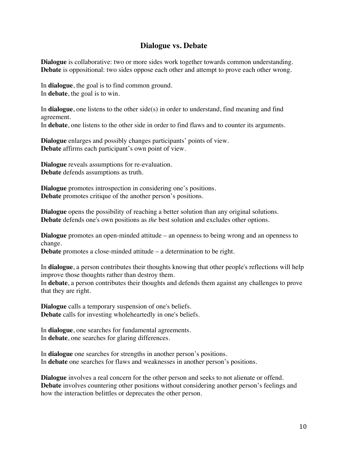# **Dialogue vs. Debate**

**Dialogue** is collaborative: two or more sides work together towards common understanding. **Debate** is oppositional: two sides oppose each other and attempt to prove each other wrong.

In **dialogue**, the goal is to find common ground. In **debate**, the goal is to win.

In **dialogue**, one listens to the other side(s) in order to understand, find meaning and find agreement.

In **debate**, one listens to the other side in order to find flaws and to counter its arguments.

**Dialogue** enlarges and possibly changes participants' points of view. **Debate** affirms each participant's own point of view.

**Dialogue** reveals assumptions for re-evaluation. **Debate** defends assumptions as truth.

**Dialogue** promotes introspection in considering one's positions. **Debate** promotes critique of the another person's positions.

**Dialogue** opens the possibility of reaching a better solution than any original solutions. **Debate** defends one's own positions as *the* best solution and excludes other options.

**Dialogue** promotes an open-minded attitude – an openness to being wrong and an openness to change.

**Debate** promotes a close-minded attitude – a determination to be right.

In **dialogue**, a person contributes their thoughts knowing that other people's reflections will help improve those thoughts rather than destroy them.

In **debate**, a person contributes their thoughts and defends them against any challenges to prove that they are right.

**Dialogue** calls a temporary suspension of one's beliefs. **Debate** calls for investing wholeheartedly in one's beliefs.

In **dialogue**, one searches for fundamental agreements. In **debate**, one searches for glaring differences.

In **dialogue** one searches for strengths in another person's positions. In **debate** one searches for flaws and weaknesses in another person's positions.

**Dialogue** involves a real concern for the other person and seeks to not alienate or offend. **Debate** involves countering other positions without considering another person's feelings and how the interaction belittles or deprecates the other person.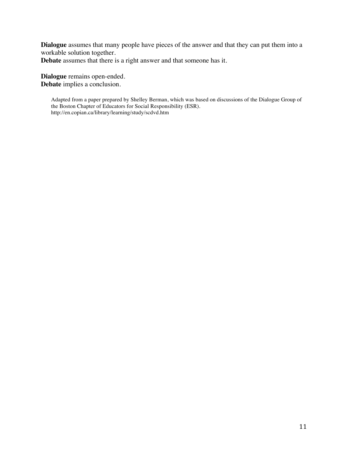**Dialogue** assumes that many people have pieces of the answer and that they can put them into a workable solution together.

**Debate** assumes that there is a right answer and that someone has it.

**Dialogue** remains open-ended. **Debate** implies a conclusion.

> Adapted from a paper prepared by Shelley Berman, which was based on discussions of the Dialogue Group of the Boston Chapter of Educators for Social Responsibility (ESR). http://en.copian.ca/library/learning/study/scdvd.htm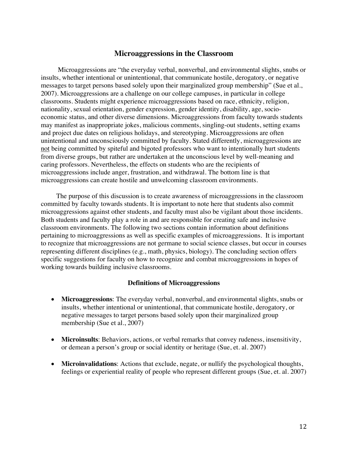#### **Microaggressions in the Classroom**

Microaggressions are "the everyday verbal, nonverbal, and environmental slights, snubs or insults, whether intentional or unintentional, that communicate hostile, derogatory, or negative messages to target persons based solely upon their marginalized group membership" (Sue et al., 2007). Microaggressions are a challenge on our college campuses, in particular in college classrooms. Students might experience microaggressions based on race, ethnicity, religion, nationality, sexual orientation, gender expression, gender identity, disability, age, socioeconomic status, and other diverse dimensions. Microaggressions from faculty towards students may manifest as inappropriate jokes, malicious comments, singling-out students, setting exams and project due dates on religious holidays, and stereotyping. Microaggressions are often unintentional and unconsciously committed by faculty. Stated differently, microaggressions are not being committed by spiteful and bigoted professors who want to intentionally hurt students from diverse groups, but rather are undertaken at the unconscious level by well-meaning and caring professors. Nevertheless, the effects on students who are the recipients of microaggressions include anger, frustration, and withdrawal. The bottom line is that microaggressions can create hostile and unwelcoming classroom environments.

The purpose of this discussion is to create awareness of microaggressions in the classroom committed by faculty towards students. It is important to note here that students also commit microaggressions against other students, and faculty must also be vigilant about those incidents. Both students and faculty play a role in and are responsible for creating safe and inclusive classroom environments. The following two sections contain information about definitions pertaining to microaggressions as well as specific examples of microaggressions. It is important to recognize that microaggressions are not germane to social science classes, but occur in courses representing different disciplines (e.g., math, physics, biology). The concluding section offers specific suggestions for faculty on how to recognize and combat microaggressions in hopes of working towards building inclusive classrooms.

#### **Definitions of Microaggressions**

- **Microaggressions**: The everyday verbal, nonverbal, and environmental slights, snubs or insults, whether intentional or unintentional, that communicate hostile, derogatory, or negative messages to target persons based solely upon their marginalized group membership (Sue et al., 2007)
- **Microinsults**: Behaviors, actions, or verbal remarks that convey rudeness, insensitivity, or demean a person's group or social identity or heritage (Sue, et. al. 2007)
- **Microinvalidations**: Actions that exclude, negate, or nullify the psychological thoughts, feelings or experiential reality of people who represent different groups (Sue, et. al. 2007)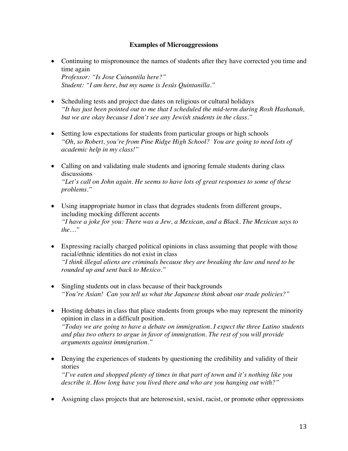#### **Examples of Microaggressions**

- Continuing to mispronounce the names of students after they have corrected you time and time again *Professor: "Is Jose Cuinantila here?" Student: "I am here, but my name is Jesús Quintanilla."*
- Scheduling tests and project due dates on religious or cultural holidays *"It has just been pointed out to me that I scheduled the mid-term during Rosh Hashanah, but we are okay because I don't see any Jewish students in the class."*
- Setting low expectations for students from particular groups or high schools *"Oh, so Robert, you're from Pine Ridge High School? You are going to need lots of academic help in my class!"*
- Calling on and validating male students and ignoring female students during class discussions *"Let's call on John again. He seems to have lots of great responses to some of these problems."*
- Using inappropriate humor in class that degrades students from different groups, including mocking different accents *"I have a joke for you: There was a Jew, a Mexican, and a Black. The Mexican says to the…"*
- Expressing racially charged political opinions in class assuming that people with those racial/ethnic identities do not exist in class *"I think illegal aliens are criminals because they are breaking the law and need to be rounded up and sent back to Mexico."*
- Singling students out in class because of their backgrounds *"You're Asian! Can you tell us what the Japanese think about our trade policies?"*
- Hosting debates in class that place students from groups who may represent the minority opinion in class in a difficult position. *"Today we are going to have a debate on immigration. I expect the three Latino students and plus two others to argue in favor of immigration. The rest of you will provide arguments against immigration."*
- Denying the experiences of students by questioning the credibility and validity of their stories *"I've eaten and shopped plenty of times in that part of town and it's nothing like you describe it. How long have you lived there and who are you hanging out with?"*
- Assigning class projects that are heterosexist, sexist, racist, or promote other oppressions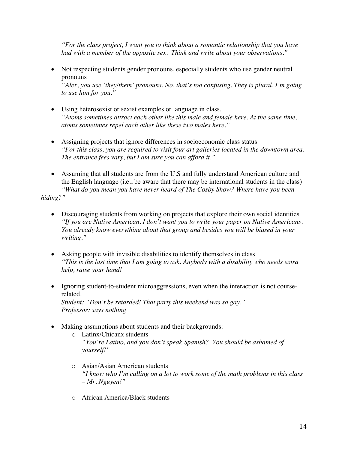*"For the class project, I want you to think about a romantic relationship that you have had with a member of the opposite sex. Think and write about your observations."*

• Not respecting students gender pronouns, especially students who use gender neutral pronouns

*"Alex, you use 'they/them' pronouns. No, that's too confusing. They is plural. I'm going to use him for you."*

- Using heterosexist or sexist examples or language in class. *"Atoms sometimes attract each other like this male and female here. At the same time, atoms sometimes repel each other like these two males here."*
- Assigning projects that ignore differences in socioeconomic class status *"For this class, you are required to visit four art galleries located in the downtown area. The entrance fees vary, but I am sure you can afford it."*
- Assuming that all students are from the U.S and fully understand American culture and the English language (i.e., be aware that there may be international students in the class) *"What do you mean you have never heard of The Cosby Show? Where have you been*

*hiding?"*

- Discouraging students from working on projects that explore their own social identities *"If you are Native American, I don't want you to write your paper on Native Americans. You already know everything about that group and besides you will be biased in your writing."*
- Asking people with invisible disabilities to identify themselves in class *"This is the last time that I am going to ask. Anybody with a disability who needs extra help, raise your hand!*
- Ignoring student-to-student microaggressions, even when the interaction is not courserelated. *Student: "Don't be retarded! That party this weekend was so gay." Professor: says nothing*
- Making assumptions about students and their backgrounds:
	- o Latinx/Chicanx students *"You're Latino, and you don't speak Spanish? You should be ashamed of yourself!"*
	- o Asian/Asian American students *"I know who I'm calling on a lot to work some of the math problems in this class – Mr. Nguyen!"*
	- o African America/Black students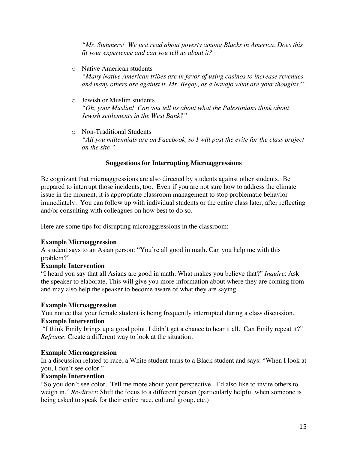*"Mr. Summers! We just read about poverty among Blacks in America. Does this fit your experience and can you tell us about it?*

- o Native American students *"Many Native American tribes are in favor of using casinos to increase revenues and many others are against it. Mr. Begay, as a Navajo what are your thoughts?"*
- o Jewish or Muslim students *"Oh, your Muslim! Can you tell us about what the Palestinians think about Jewish settlements in the West Bank?"*
- o Non-Traditional Students *"All you millennials are on Facebook, so I will post the evite for the class project on the site."*

# **Suggestions for Interrupting Microaggressions**

Be cognizant that microaggressions are also directed by students against other students. Be prepared to interrupt those incidents, too. Even if you are not sure how to address the climate issue in the moment, it is appropriate classroom management to stop problematic behavior immediately. You can follow up with individual students or the entire class later, after reflecting and/or consulting with colleagues on how best to do so.

Here are some tips for disrupting microaggressions in the classroom:

# **Example Microaggression**

A student says to an Asian person: "You're all good in math. Can you help me with this problem?"

# **Example Intervention**

"I heard you say that all Asians are good in math. What makes you believe that?" *Inquire*: Ask the speaker to elaborate. This will give you more information about where they are coming from and may also help the speaker to become aware of what they are saying.

## **Example Microaggression**

You notice that your female student is being frequently interrupted during a class discussion. **Example Intervention**

"I think Emily brings up a good point. I didn't get a chance to hear it all. Can Emily repeat it?" *Reframe*: Create a different way to look at the situation.

# **Example Microaggression**

In a discussion related to race, a White student turns to a Black student and says: "When I look at you, I don't see color."

## **Example Intervention**

"So you don't see color. Tell me more about your perspective. I'd also like to invite others to weigh in." *Re-direct*: Shift the focus to a different person (particularly helpful when someone is being asked to speak for their entire race, cultural group, etc.)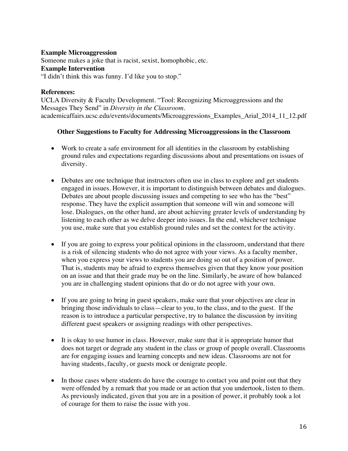#### **Example Microaggression**

Someone makes a joke that is racist, sexist, homophobic, etc. **Example Intervention**

"I didn't think this was funny. I'd like you to stop."

#### **References:**

UCLA Diversity & Faculty Development. "Tool: Recognizing Microaggressions and the Messages They Send" in *Diversity in the Classroom*. academicaffairs.ucsc.edu/events/documents/Microaggressions\_Examples\_Arial\_2014\_11\_12.pdf

#### **Other Suggestions to Faculty for Addressing Microaggressions in the Classroom**

- Work to create a safe environment for all identities in the classroom by establishing ground rules and expectations regarding discussions about and presentations on issues of diversity.
- Debates are one technique that instructors often use in class to explore and get students engaged in issues. However, it is important to distinguish between debates and dialogues. Debates are about people discussing issues and competing to see who has the "best" response. They have the explicit assumption that someone will win and someone will lose. Dialogues, on the other hand, are about achieving greater levels of understanding by listening to each other as we delve deeper into issues. In the end, whichever technique you use, make sure that you establish ground rules and set the context for the activity.
- If you are going to express your political opinions in the classroom, understand that there is a risk of silencing students who do not agree with your views. As a faculty member, when you express your views to students you are doing so out of a position of power. That is, students may be afraid to express themselves given that they know your position on an issue and that their grade may be on the line. Similarly, be aware of how balanced you are in challenging student opinions that do or do not agree with your own.
- If you are going to bring in guest speakers, make sure that your objectives are clear in bringing those individuals to class—clear to you, to the class, and to the guest. If the reason is to introduce a particular perspective, try to balance the discussion by inviting different guest speakers or assigning readings with other perspectives.
- It is okay to use humor in class. However, make sure that it is appropriate humor that does not target or degrade any student in the class or group of people overall. Classrooms are for engaging issues and learning concepts and new ideas. Classrooms are not for having students, faculty, or guests mock or denigrate people.
- In those cases where students do have the courage to contact you and point out that they were offended by a remark that you made or an action that you undertook, listen to them. As previously indicated, given that you are in a position of power, it probably took a lot of courage for them to raise the issue with you.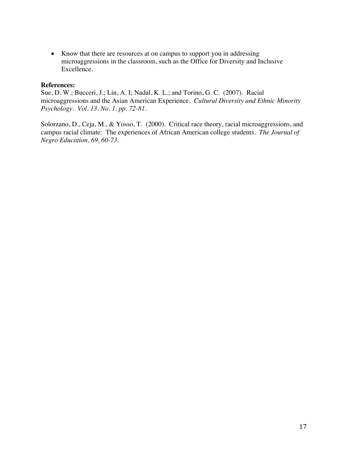• Know that there are resources at on campus to support you in addressing microaggressions in the classroom, such as the Office for Diversity and Inclusive Excellence.

#### **References:**

Sue, D. W.; Bucceri, J.; Lin, A. I; Nadal, K. L.; and Torino, G. C. (2007). Racial microaggressions and the Asian American Experience. *Cultural Diversity and Ethnic Minority Psychology. Vol. 13. No. 1. pp. 72-81*.

Solorzano, D., Ceja, M., & Yosso, T. (2000). Critical race theory, racial microaggressions, and campus racial climate: The experiences of African American college students. *The Journal of Negro Education, 69, 60-73*.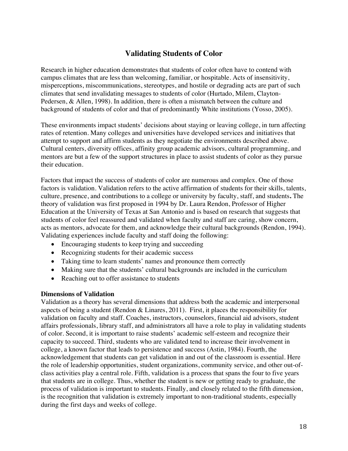# **Validating Students of Color**

Research in higher education demonstrates that students of color often have to contend with campus climates that are less than welcoming, familiar, or hospitable. Acts of insensitivity, misperceptions, miscommunications, stereotypes, and hostile or degrading acts are part of such climates that send invalidating messages to students of color (Hurtado, Milem, Clayton-Pedersen, & Allen, 1998). In addition, there is often a mismatch between the culture and background of students of color and that of predominantly White institutions (Yosso, 2005).

These environments impact students' decisions about staying or leaving college, in turn affecting rates of retention. Many colleges and universities have developed services and initiatives that attempt to support and affirm students as they negotiate the environments described above. Cultural centers, diversity offices, affinity group academic advisors, cultural programming, and mentors are but a few of the support structures in place to assist students of color as they pursue their education.

Factors that impact the success of students of color are numerous and complex. One of those factors is validation. Validation refers to the active affirmation of students for their skills, talents, culture, presence, and contributions to a college or university by faculty, staff, and students**.** The theory of validation was first proposed in 1994 by Dr. Laura Rendon, Professor of Higher Education at the University of Texas at San Antonio and is based on research that suggests that students of color feel reassured and validated when faculty and staff are caring, show concern, acts as mentors, advocate for them, and acknowledge their cultural backgrounds (Rendon, 1994). Validating experiences include faculty and staff doing the following:

- Encouraging students to keep trying and succeeding
- Recognizing students for their academic success
- Taking time to learn students' names and pronounce them correctly
- Making sure that the students' cultural backgrounds are included in the curriculum
- Reaching out to offer assistance to students

#### **Dimensions of Validation**

Validation as a theory has several dimensions that address both the academic and interpersonal aspects of being a student (Rendon & Linares, 2011). First, it places the responsibility for validation on faculty and staff. Coaches, instructors, counselors, financial aid advisors, student affairs professionals, library staff, and administrators all have a role to play in validating students of color. Second, it is important to raise students' academic self-esteem and recognize their capacity to succeed. Third, students who are validated tend to increase their involvement in college, a known factor that leads to persistence and success (Astin, 1984). Fourth, the acknowledgement that students can get validation in and out of the classroom is essential. Here the role of leadership opportunities, student organizations, community service, and other out-ofclass activities play a central role. Fifth, validation is a process that spans the four to five years that students are in college. Thus, whether the student is new or getting ready to graduate, the process of validation is important to students. Finally, and closely related to the fifth dimension, is the recognition that validation is extremely important to non-traditional students, especially during the first days and weeks of college.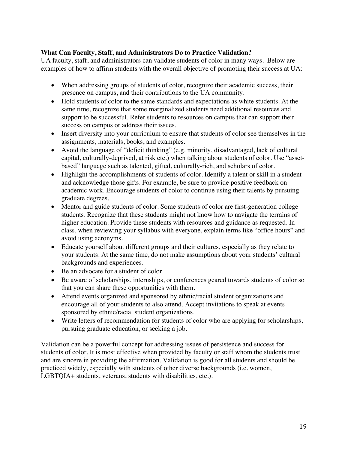## **What Can Faculty, Staff, and Administrators Do to Practice Validation?**

UA faculty, staff, and administrators can validate students of color in many ways. Below are examples of how to affirm students with the overall objective of promoting their success at UA:

- When addressing groups of students of color, recognize their academic success, their presence on campus, and their contributions to the UA community.
- Hold students of color to the same standards and expectations as white students. At the same time, recognize that some marginalized students need additional resources and support to be successful. Refer students to resources on campus that can support their success on campus or address their issues.
- Insert diversity into your curriculum to ensure that students of color see themselves in the assignments, materials, books, and examples.
- Avoid the language of "deficit thinking" (e.g. minority, disadvantaged, lack of cultural capital, culturally-deprived, at risk etc.) when talking about students of color. Use "assetbased" language such as talented, gifted, culturally-rich, and scholars of color.
- Highlight the accomplishments of students of color. Identify a talent or skill in a student and acknowledge those gifts. For example, be sure to provide positive feedback on academic work. Encourage students of color to continue using their talents by pursuing graduate degrees.
- Mentor and guide students of color. Some students of color are first-generation college students. Recognize that these students might not know how to navigate the terrains of higher education. Provide these students with resources and guidance as requested. In class, when reviewing your syllabus with everyone, explain terms like "office hours" and avoid using acronyms.
- Educate yourself about different groups and their cultures, especially as they relate to your students. At the same time, do not make assumptions about your students' cultural backgrounds and experiences.
- Be an advocate for a student of color.
- Be aware of scholarships, internships, or conferences geared towards students of color so that you can share these opportunities with them.
- Attend events organized and sponsored by ethnic/racial student organizations and encourage all of your students to also attend. Accept invitations to speak at events sponsored by ethnic/racial student organizations.
- Write letters of recommendation for students of color who are applying for scholarships, pursuing graduate education, or seeking a job.

Validation can be a powerful concept for addressing issues of persistence and success for students of color. It is most effective when provided by faculty or staff whom the students trust and are sincere in providing the affirmation. Validation is good for all students and should be practiced widely, especially with students of other diverse backgrounds (i.e. women, LGBTQIA+ students, veterans, students with disabilities, etc.).